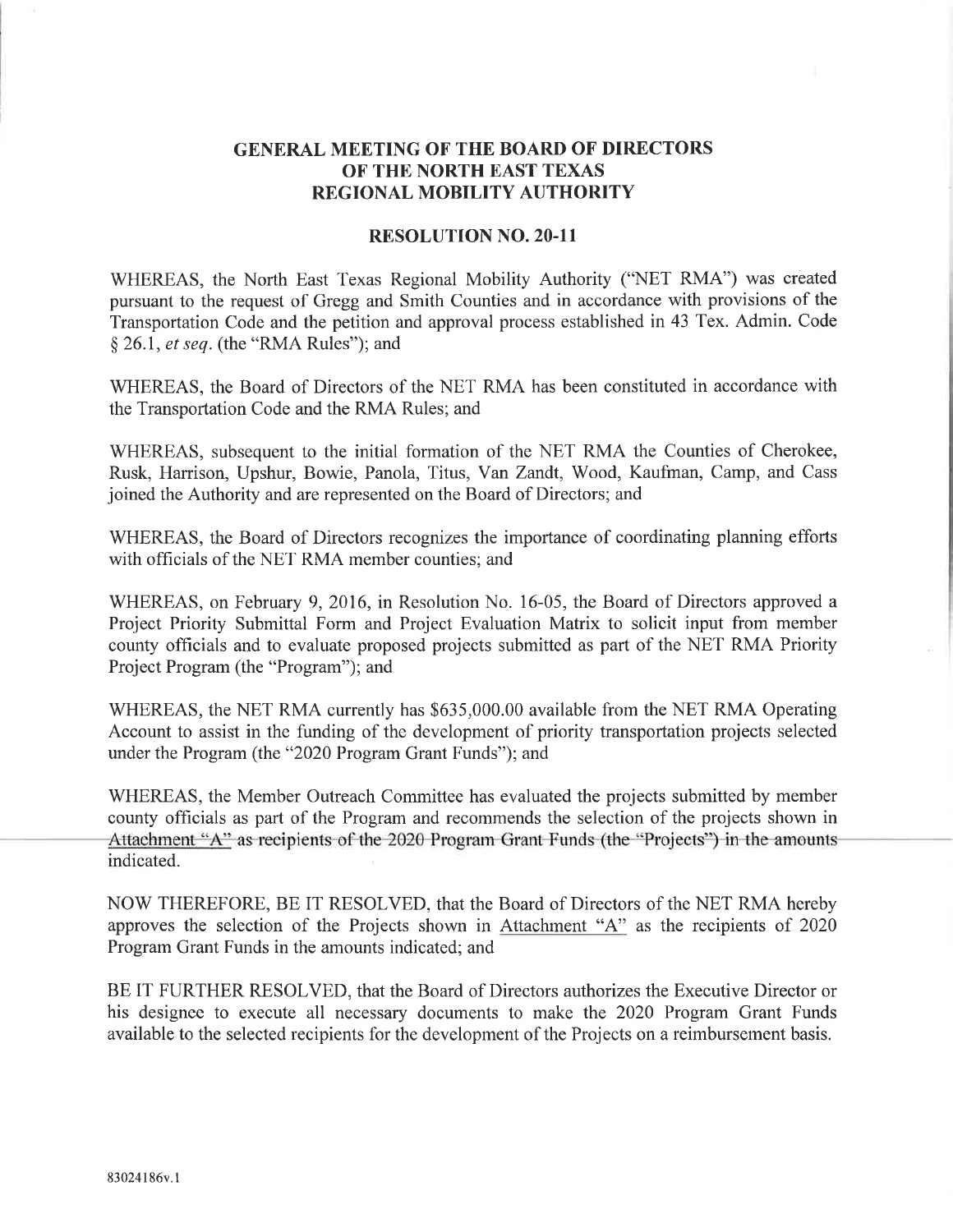## GENERAL MEETING OF THE BOARD OF DIRECTORS OF THE NORTH EAST TEXAS REGIONAL MOBILITY AUTHORITY

## RESOLUTION NO. 2O.II

WHEREAS, the North East Texas Regional Mobility Authority ("NET RMA") was created pursuant to the request of Gregg and Smith Counties and in accordance with provisions of the Transportation Code and the petition and approval process established in 43 Tex. Admin. Code \$ 26.1, et seq. (the "RMA Rules"); and

WHEREAS, the Board of Directors of the NET RMA has been constituted in accordance with the Transportation Code and the RMA Rules; and

WHEREAS, subsequent to the initial formation of the NET RMA the Counties of Cherokee, Rusk, Harrison, Upshur, Bowie, Panola, Titus, Van Zandt, Wood, Kaufman, Camp, and Cass joined the Authority and are represented on the Board of Directors; and

WHEREAS, the Board of Directors recognizes the importance of coordinating planning efforts with officials of the NET RMA member counties; and

WHEREAS, on February 9, 2016, in Resolution No. 16-05, the Board of Directors approved a Project Priority Submittal Form and Project Evaluation Matrix to solicit input from member county officials and to evaluate proposed projects submitted as part of the NET RMA Priority Project Program (the "Program"); and

WHEREAS, the NET RMA currently has \$635,000.00 available from the NET RMA Operating Account to assist in the funding of the development of priority transportation projects selected under the Program (the"2020 Program Grant Funds"); and

WHEREAS, the Member Outreach Committee has evaluated the projects submitted by member county officials as part of the Program and recommends the selection of the projects shown in Attachment "A" as recipients of the 2020 Program Grant Funds (the "Projects") in the amounts indicated.

NOW THEREFORE, BE IT RESOLVED, that the Board of Directors of the NET RMA hereby approves the selection of the Projects shown in Attachment "4" as the recipients of <sup>2020</sup> Program Grant Funds in the amounts indicated; and

BE IT FURTHER RESOLVED, that the Board of Directors authorizes the Executive Director or his designee to execute all necessary documents to make the 2020 Program Grant Funds available to the selected recipients for the development of the Projects on a reimbursement basis.